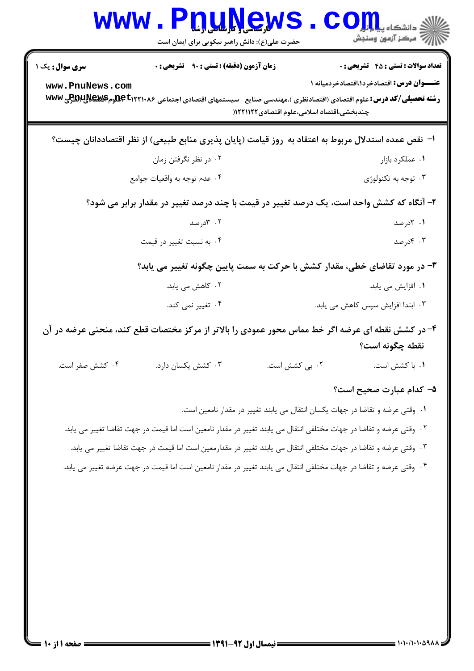| <b>WWW</b>             | PnuNews<br>حضرت علی(ع): دانش راهبر نیکویی برای ایمان است                                                                         |                                            | ن<br>کے دانشکاہ پ <b>یا ہ<sup>ا</sup> ہو</b><br>أآآه مرکز آزمون وسنجش         |
|------------------------|----------------------------------------------------------------------------------------------------------------------------------|--------------------------------------------|-------------------------------------------------------------------------------|
| <b>سری سوال :</b> یک ۱ | <b>زمان آزمون (دقیقه) : تستی : ۹۰ قشریحی : .</b>                                                                                 |                                            | <b>تعداد سوالات : تستی : 45 گشریحی : 0</b>                                    |
| www.PnuNews.com        | <b>رشته تحصیلی/کد درس:</b> علوم اقتصادی (اقتصادنظری )،مهندسی صنایع- سیستمهای اقتصادی اجتماعی ۱۲۲۱۰۸۶± <del>9Dمِم2DC وم WWW</del> | چندبخشی،اقتصاد اسلامی،علوم اقتصادی۱۲۲۱۱۲۲( | <b>عنـــوان درس:</b> اقتصادخرد۱،اقتصادخردمیانه ۱                              |
|                        | ا– نقص عمده استدلال مربوط به اعتقاد به ۖ روز قیامت (پایان پذیری منابع طبیعی) از نظر اقتصاددانان چیست؟                            |                                            |                                                                               |
|                        | ۰۲ در نظر نگرفتن زمان                                                                                                            |                                            | ۰۱ عملکرد بازار                                                               |
|                        | ۰۴ عدم توجه به واقعيات جوامع                                                                                                     |                                            | ۰۳ توجه به تکنولوژی                                                           |
|                        | ۲- آنگاه که کشش واحد است، یک درصد تغییر در قیمت با چند درصد تغییر در مقدار برابر می شود؟                                         |                                            |                                                                               |
|                        | ۰۲ ۳درصد                                                                                                                         |                                            | ۰۱ کادرصد                                                                     |
|                        | ۰۴ به نسبت تغییر در قیمت                                                                                                         |                                            | ۰۳ کادرصد                                                                     |
|                        | ۳- در مورد تقاضای خطی، مقدار کشش با حرکت به سمت پایین چگونه تغییر می یابد؟                                                       |                                            |                                                                               |
|                        | ۲. کاهش می یابد.                                                                                                                 |                                            | ۰۱ افزایش می یابد.                                                            |
|                        | ۰۴ تغییر نمی کند.                                                                                                                |                                            | ۰۳ ابتدا افزایش سپس کاهش می یابد.                                             |
|                        | ۴- در کشش نقطه ای عرضه اگر خط مماس محور عمودی را بالاتر از مرکز مختصات قطع کند، منحنی عرضه در آن                                 |                                            |                                                                               |
|                        |                                                                                                                                  |                                            | نقطه چگونه است؟                                                               |
| ۰۴ کشش صفر است.        | ۰۳ کشش یکسان دارد.                                                                                                               | ۰۲ بی کشش است.                             | ۰۱ با کشش است.                                                                |
|                        |                                                                                                                                  |                                            | ۵– کدام عبارت صحیح است؟                                                       |
|                        |                                                                                                                                  |                                            | ٠١ وقتي عرضه و تقاضا در جهات يكسان انتقال مي يابند تغيير در مقدار نامعين است. |
|                        | ۰۲ وقتی عرضه و تقاضا در جهات مختلفی انتقال می یابند تغییر در مقدار نامعین است اما قیمت در جهت تقاضا تغییر می یابد.               |                                            |                                                                               |
|                        | ۰۳ وقتی عرضه و تقاضا در جهات مختلفی انتقال می یابند تغییر در مقدارمعین است اما قیمت در جهت تقاضا تغییر می یابد.                  |                                            |                                                                               |
|                        | ۰۴ وقتی عرضه و تقاضا در جهات مختلفی انتقال می یابند تغییر در مقدار نامعین است اما قیمت در جهت عرضه تغییر می یابد.                |                                            |                                                                               |
|                        |                                                                                                                                  |                                            |                                                                               |
|                        |                                                                                                                                  |                                            |                                                                               |
|                        |                                                                                                                                  |                                            |                                                                               |
|                        |                                                                                                                                  |                                            |                                                                               |
|                        |                                                                                                                                  |                                            |                                                                               |
|                        |                                                                                                                                  |                                            |                                                                               |
|                        |                                                                                                                                  |                                            |                                                                               |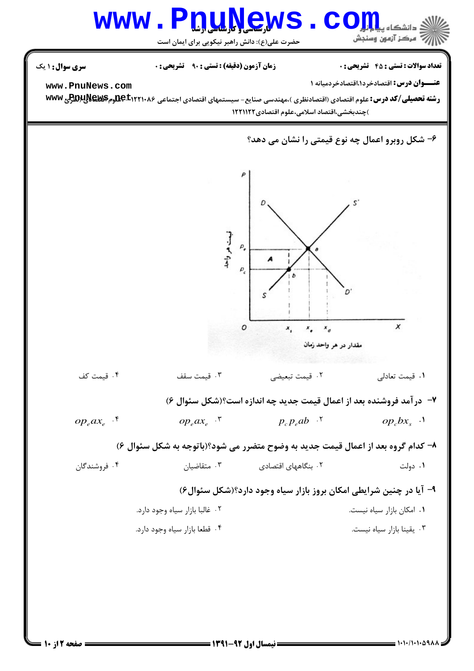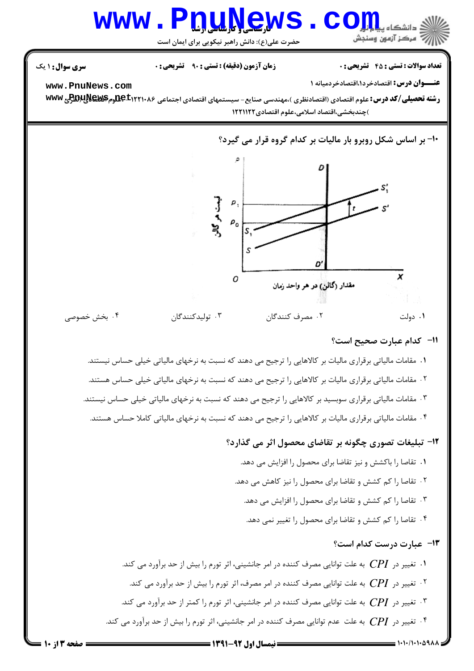#### **QWS.** www.Pn com ن دانشگاه ، أأرأت مركز آزمون وسنجش

حضرت علی(ع): دانش راهبر نیکویی برای ایمان است

**تعداد سوالات : تستی : 45 ۔ تشریحی : 0** 

**زمان آزمون (دقیقه) : تستی : ۹۰٪ تشریحی: 0** 

**سری سوال :** ۱ یک

www.PnuNews.com

عنــوان درس: اقتصادخرد١،اقتصادخردميانه ١

رشته تحصیلی/کد درس: علوم اقتصادی (اقتصادنظری )،مهندسی صنایع- سیستمهای اقتصادی اجتماعی ۱۲۲۱۰۸۶±9هومPBDپلABکومWw )چندبخشی،اقتصاد اسلامی،علوم اقتصادی ۱۲۲۱۱۲۲

10- بر اساس شکل روبرو بار مالیات بر کدام گروه قرار می گیرد؟



#### 11- كدام عبارت صحيح است؟

١. مقامات مالیاتی برقراری مالیات بر كالاهایی را ترجیح می دهند كه نسبت به نرخهای مالیاتی خیلی حساس نیستند. ۲ . مقامات مالیاتی برقراری مالیات بر کالاهایی را ترجیح می دهند که نسبت به نرخهای مالیاتی خیلی حساس هستند. ۰۳ مقامات مالیاتی برقراری سوبسید بر کالاهایی را ترجیح می دهند که نسبت به نرخهای مالیاتی خیلی حساس نیستند. ۰۴ مقامات مالیاتی برقراری مالیات بر کالاهایی را ترجیح می دهند که نسبت به نرخهای مالیاتی کاملا حساس هستند.

#### ۱۲- تبلیغات تصوری چگونه بر تقاضای محصول اثر می گذارد؟

۰۱ تقاصا را باکشش و نیز تقاضا برای محصول را افزایش می دهد. ۰۲ تقاصا را کم کشش و تقاضا برای محصول را نیز کاهش می دهد. ۰۳ تقاصا را کم کشش و تقاضا برای محصول را افزایش می دهد. ۰۴ تقاصا را کم کشش و تقاضا برای محصول را تغییر نمی دهد.

13- عبارت درست كدام است؟

۰۱ تغییر در  $C\!PI$  به علت توانایی مصرف کننده در امر جانشینی، اثر تورم را بیش از حد برآورد می کند. ۰۲ تغییر در  $C\!\!P\!I$  به علت توانایی مصرف کننده در امر مصرف، اثر تورم را بیش از حد برآورد می کند. ۰۳ . تغییر در  $CP$  به علت توانایی مصرف کننده در امر جانشینی، اثر تورم را کمتر از حد برآورد می کند. ۰۴ تغییر در  $CP$  به علت عدم توانایی مصرف کننده در امر جانشینی، اثر تورم را بیش از حد برآورد می کند.  $\cdot$ 

 $= 1.11/1.1.09AA$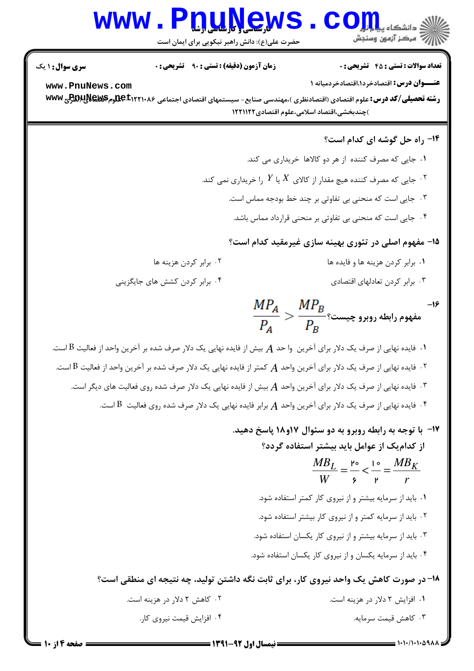## WWW.PnuNews.Com

حضرت علی(ع): دانش راهبر نیکویی برای ایمان است

**تعداد سوالات : تستي : 45 - تشريحي : 0** 

**زمان آزمون (دقیقه) : تستی : 90 ٪ تشریحی : 0** 

**سری سوال :** ۱ یک

www.PnuNews.com

عنــوان درس: اقتصادخرد۱.اقتصادخردمیانه ۱

رشته تحصیلی/کد درس: علوم اقتصادی (اقتصادنظری )،مهندسی صنایع- سیستمهای اقتصادی اجتماعی ۹۵۰۲۲۲۱۰۸۶هجدم۳۷۶۴پرWR و www )چندبخشی،اقتصاد اسلامی،علوم اقتصادی ۱۲۲۱۱۲۲

### 1۴- راه حل گوشه ای کدام است؟

- ۰۱ جایی که مصرف کننده از هر دو کالاها خریداری می کند.
- ۰۲ جایی که مصرف کننده هیچ مقدار از کالای  $X$  یا  $Y$  را خریداری نمی کند.  $^\mathsf{r}$ 
	- ۰۳ جایی است که منحنی بی تفاوتی بر چند خط بودجه مماس است.
	- ۰۴ جایی است که منحنی بی تفاوتی بر منحنی قرارداد مماس باشد.

۱۵- مفهوم اصلی در تئوری بهینه سازی غیرمقید کدام است؟

- ٠١. برابر كردن هزينه ها و فايده ها
- ۰۳ برابر کردن تعادلهای اقتصادی

۰۴ برابر کردن کشش های جایگزینی

۰۲ برابر کردن هزینه ها

 $\displaystyle \frac{MP_A}{P_A} > \frac{MP_B}{P_B}$ ، مفهوم رابطه روبرو چیست  $-19$ 

۰۱ فایده نهایی از صرف یک دلار برای آخرین وا حد  $A$  بیش از فایده نهایی یک دلار صرف شده بر آخرین واحد از فعالیت  $\mathrm B$  است. ۰۲ فایده نهایی از صرف یک دلار برای آخرین واحد  $A$  کمتر از فایده نهایی یک دلار صرف شده بر آخرین واحد از فعالیت  $\mathrm B$  است.  $\,$ ۰۳ نایده نهایی از صرف یک دلار برای آخرین واحد  $A$  بیش از فایده نهایی یک دلار صرف شده روی فعالیت های دیگر است.  $\cdot$ ۰۴ قایده نهایی از صرف یک دلار برای آخرین واحد  $A$  برابر فایده نهایی یک دلار صرف شده روی فعالیت  $\,$  است.  $\,$ 

> ۱۷- با توجه به رابطه روبرو به دو سئوال ۱۷و۱۸ پاسخ دهید. از کدامیک از عوامل باید بیشتر استفاده گردد؟  $\frac{MB_L}{W} = \frac{P\circ}{r} < \frac{1\circ}{W} = \frac{MB_K}{r}$ ٠١. بايد از سرمايه بيشتر و از نيروى كار كمتر استفاده شود. ۰۲ باید از سرمایه کمتر و از نیروی کار بیشتر استفاده شود. ۰۳ باید از سرمایه بیشتر و از نیروی کار یکسان استفاده شود. ۰۴ باید از سرمایه یکسان و از نیروی کار یکسان استفاده شود. ۱۸- در صورت کاهش یک واحد نیروی کار، برای ثابت نگه داشتن تولید، چه نتیجه ای منطقی است؟

۰۲ کاهش ۲ دلار در هزینه است. ۰۱ افزایش ۲ دلار در هزینه است. ۴. افزایش قیمت نیروی کار. ۰۳ کاهش قیمت سرمایه.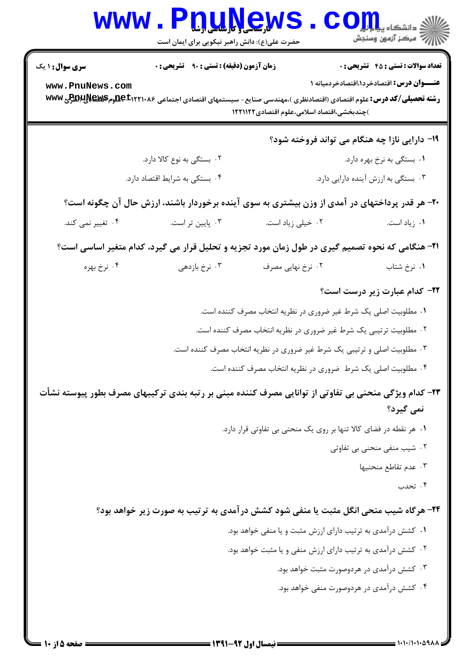|                                           | www.P <u>nuŅe</u> ws<br>حضرت علی(ع): دانش راهبر نیکویی برای ایمان است                                                                                                           |                                                                           | الله دانشگاه پیام <mark>تور</mark><br>الله مرکز آزمون وسنجش                                      |
|-------------------------------------------|---------------------------------------------------------------------------------------------------------------------------------------------------------------------------------|---------------------------------------------------------------------------|--------------------------------------------------------------------------------------------------|
| <b>سری سوال : ۱ یک</b><br>www.PnuNews.com | زمان آزمون (دقیقه) : تستی : ۹۰٪ تشریحی : ۰<br><b>رشته تحصیلی/کد درس:</b> علوم اقتصادی (اقتصادنظری )،مهندسی صنایع- سیستمهای اقتصادی اجتماعی ۱۲۲۱۰۸۶±1 <del>0مهم IPC</del> وم WWW | )چندبخشی،اقتصاد اسلامی،علوم اقتصادی۱۲۲۱۱۲۲                                | <b>تعداد سوالات : تستی : 45 - تشریحی : 0</b><br><b>عنـــوان درس:</b> اقتصادخرد۱،اقتصادخردمیانه ۱ |
|                                           |                                                                                                                                                                                 |                                                                           | ۱۹- دارایی نازا چه هنگام می تواند فروخته شود؟                                                    |
|                                           | ۰۲ بستگی به نوع کالا دارد.                                                                                                                                                      |                                                                           | ۰۱ بستگی به نرخ بهره دارد.                                                                       |
|                                           | ۰۴ بستکی به شرایط اقتصاد دارد.                                                                                                                                                  |                                                                           | ۰۳ بستگی به ارزش آینده دارایی دارد.                                                              |
|                                           | ۲۰- هر قدر پرداختهای در آمدی از وزن بیشتری به سوی آینده برخوردار باشند، ارزش حال آن چگونه است؟                                                                                  |                                                                           |                                                                                                  |
| ۰۴ تغییر نمی کند.                         | ۰۳ پایین تر است.                                                                                                                                                                | ۰۲ خیلی زیاد است.                                                         | ٠١. زياد است.                                                                                    |
|                                           | ۲۱- هنگامی که نحوه تصمیم گیری در طول زمان مورد تجزیه و تحلیل قرار می گیرد، کدام متغیر اساسی است؟                                                                                |                                                                           |                                                                                                  |
| ۰۴ نرخ بهره                               | ۰۳ نرخ بازدهی                                                                                                                                                                   | ۰۲ نرخ نهایی مصرف                                                         | ۰۱ نرخ شتاب                                                                                      |
|                                           |                                                                                                                                                                                 |                                                                           | <b>۳۲- کدام عبارت زیر درست است</b> ؟                                                             |
|                                           |                                                                                                                                                                                 | ۰۱ مطلوبیت اصلی یک شرط غیر ضروری در نظریه انتخاب مصرف کننده است.          |                                                                                                  |
|                                           |                                                                                                                                                                                 | ۰۲ مطلوبیت ترتیبی یک شرط غیر ضروری در نظریه انتخاب مصرف کننده است.        |                                                                                                  |
|                                           |                                                                                                                                                                                 | ۰۳ مطلوبیت اصلی و ترتیبی یک شرط غیر ضروری در نظریه انتخاب مصرف کننده است. |                                                                                                  |
|                                           |                                                                                                                                                                                 | ۰۲ مطلوبیت اصلی یک شرط  ضروری در نظریه انتخاب مصرف کننده است.             |                                                                                                  |
|                                           | ۲۳– کدام ویژگی منحنی بی تفاوتی از توانایی مصرف کننده مبنی بر رتبه بندی ترکیبهای مصرف بطور پیوسته نشأت                                                                           |                                                                           | نمی گیرد؟                                                                                        |
|                                           |                                                                                                                                                                                 | ۰۱ هر نقطه در فضای کالا تنها بر روی یک منحنی بی تفاوتی قرار دارد.         |                                                                                                  |
|                                           |                                                                                                                                                                                 |                                                                           | ۰۲ شیب منفی منحنی بی تفاوتی<br>٠٣ عدم تقاطع منحنيها                                              |
|                                           |                                                                                                                                                                                 |                                                                           | ۰۴ تحدب                                                                                          |
|                                           | ۲۴- هرگاه شیب منحی انگل مثبت یا منفی شود کشش درآمدی به ترتیب به صورت زیر خواهد بود؟                                                                                             |                                                                           |                                                                                                  |
|                                           |                                                                                                                                                                                 | ٠١ كشش درآمدي به ترتيب داراي ارزش مثبت و يا منفى خواهد بود.               |                                                                                                  |
|                                           |                                                                                                                                                                                 | ۰۲ کشش درآمدی به ترتیب دارای ارزش منفی و یا مثبت خواهد بود.               |                                                                                                  |
|                                           |                                                                                                                                                                                 |                                                                           | ۰۳ کشش درآمدی در هردوصورت مثبت خواهد بود.                                                        |
|                                           |                                                                                                                                                                                 |                                                                           | ۰۴ کشش درآمدی در هردوصورت منفی خواهد بود.                                                        |
|                                           |                                                                                                                                                                                 |                                                                           |                                                                                                  |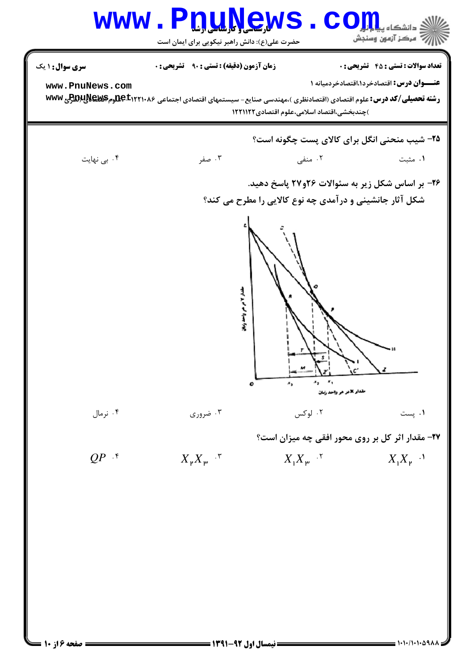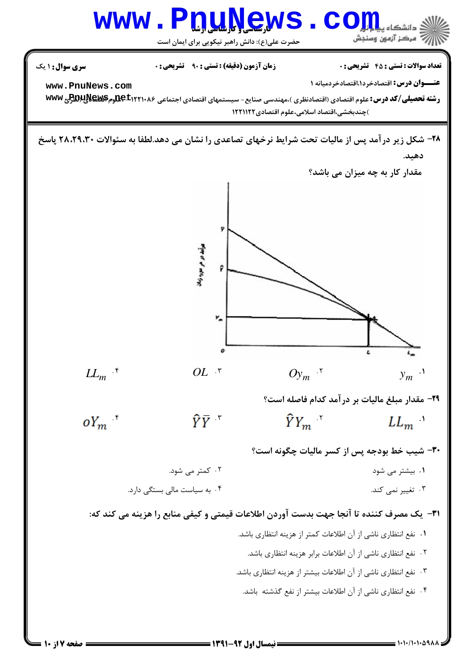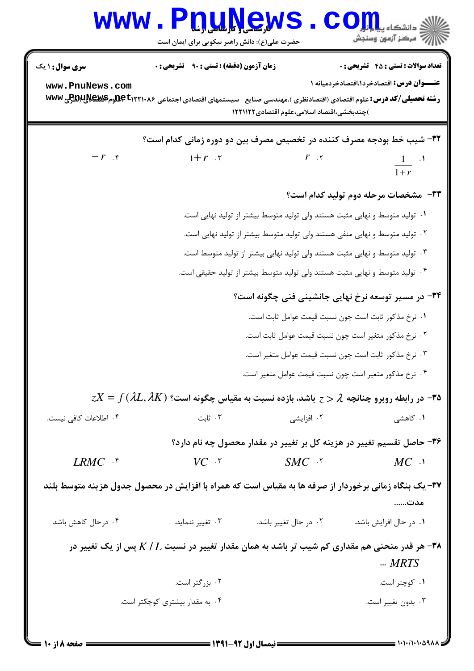| <b>سری سوال :</b> ۱ یک                                                                                                                                     | <b>زمان آزمون (دقیقه) : تستی : ۹۰ تشریحی : 0</b>                                                                                         |                                                                             | <b>تعداد سوالات : تستي : 45 گشريحي : 0</b>       |  |
|------------------------------------------------------------------------------------------------------------------------------------------------------------|------------------------------------------------------------------------------------------------------------------------------------------|-----------------------------------------------------------------------------|--------------------------------------------------|--|
| www.PnuNews.com                                                                                                                                            | <b>رشته تحصیلی/کد درس:</b> علوم اقتصادی (اقتصادنظری )،مهندسی صنایع- سیستمهای اقتصادی اجتماعی <b>AC ±۱۲۲۱۰۸۶هومBEX ل43D</b> رم <b>PEX</b> | )چندبخشی،اقتصاد اسلامی،علوم اقتصادی ۱۲۲۱۱۲۲                                 | <b>عنـــوان درس:</b> اقتصادخرد۱،اقتصادخردمیانه ۱ |  |
|                                                                                                                                                            | ۳۲- شیب خط بودجه مصرف کننده در تخصیص مصرف بین دو دوره زمانی کدام است؟                                                                    |                                                                             |                                                  |  |
| $-r$ $\epsilon$                                                                                                                                            | $1+r$ $\cdot$                                                                                                                            | $r_{\alpha}$                                                                | $\frac{1}{1+r}$ $\cdot$ <sup>1</sup>             |  |
|                                                                                                                                                            |                                                                                                                                          |                                                                             | ۳۳- مشخصات مرحله دوم تولید کدام است؟             |  |
|                                                                                                                                                            |                                                                                                                                          | ۰۱ تولید متوسط و نهایی مثبت هستند ولی تولید متوسط بیشتر از تولید نهایی است. |                                                  |  |
| ۰۲ تولید متوسط و نهایی منفی هستند ولی تولید متوسط بیشتر از تولید نهایی است.<br>۰۳ تولید متوسط و نهایی مثبت هستند ولی تولید نهایی بیشتر از تولید متوسط است. |                                                                                                                                          |                                                                             |                                                  |  |
|                                                                                                                                                            |                                                                                                                                          |                                                                             |                                                  |  |
|                                                                                                                                                            |                                                                                                                                          | ۳۴- در مسیر توسعه نرخ نهایی جانشینی فنی چگونه است؟                          |                                                  |  |
|                                                                                                                                                            |                                                                                                                                          | 1. نرخ مذكور ثابت است چون نسبت قيمت عوامل ثابت است.                         |                                                  |  |
|                                                                                                                                                            | ۰۲ نرخ مذکور متغیر است چون نسبت قیمت عوامل ثابت است.                                                                                     |                                                                             |                                                  |  |
|                                                                                                                                                            |                                                                                                                                          | ۰۳ نرخ مذکور ثابت است چون نسبت قیمت عوامل متغیر است.                        |                                                  |  |
|                                                                                                                                                            |                                                                                                                                          | ۰۴ نرخ مذکور متغیر است چون نسبت قیمت عوامل متغیر است.                       |                                                  |  |
|                                                                                                                                                            | $z$ ه۳- در رابطه روبرو چنانچه $\lambda$ $z>0$ باشد، بازده نسبت به مقیاس چگونه است؟ ( $X=\mathit{f}(\lambda L,\lambda K)$                 |                                                                             |                                                  |  |
| ۰۴ اطلاعات كافي نيست.                                                                                                                                      | ۰۳ ثابت                                                                                                                                  | ۰۲ افزایشی                                                                  | ۰۱ کاهشی                                         |  |
|                                                                                                                                                            |                                                                                                                                          | ۳۶- حاصل تقسیم تغییر در هزینه کل بر تغییر در مقدار محصول چه نام دارد؟       |                                                  |  |
| $LRMC$ f                                                                                                                                                   | $VC$ $\cdot$ $\cdot$                                                                                                                     | $SMC$ . $\lq$                                                               | $MC$ $\cdot$                                     |  |
|                                                                                                                                                            | ۳۷- یک بنگاه زمانی برخوردار از صرفه ها به مقیاس است که همراه با افزایش در محصول جدول هزینه متوسط بلند                                    |                                                                             | مدت                                              |  |
| ۰۴ در حال کاهش باشد                                                                                                                                        | ۰۳ تغییر ننماید.                                                                                                                         | ۰۲ در حال تغییر باشد.                                                       | ٠١ در حال افزايش باشد.                           |  |
|                                                                                                                                                            | هر قدر منحنی هم مقداری کم شیب تر باشد به همان مقدار تغییر در نسبت $K/L$ پس از یک تغییر در $\bullet$                                      |                                                                             | $$ MRTS                                          |  |
|                                                                                                                                                            | ۰۲ بزرگتر است.                                                                                                                           |                                                                             | ۰۱ کوچتر است.                                    |  |
|                                                                                                                                                            | ۰۴ به مقدار بیشتری کوچکتر است.                                                                                                           |                                                                             | ۰۳ بدون تغيير است.                               |  |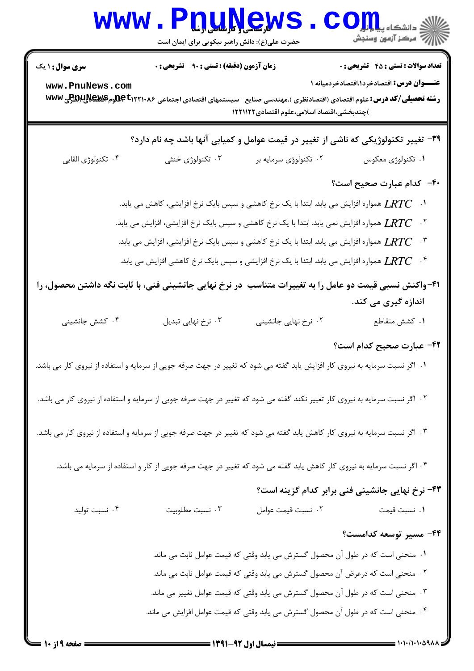| <b>WWW</b>                                                                                                                  | W <sub>ite</sub> Late of the Late of the Late of the Late of the Late of the Late of the Late of the Late of the Late of the Late of the Late of the Late of the Late of the Late of the Late of the Late of the Late of the Late of the<br>حضرت علی(ع): دانش راهبر نیکویی برای ایمان است                                                                                                                 |                                                                                                                                                                                                                                                                                                                                        | ک دانشکاه پ <b>یا ب<sup>ا</sup> ت<mark>و</mark>ر</b><br>أأأأمركز آزمون وسنجش                     |
|-----------------------------------------------------------------------------------------------------------------------------|-----------------------------------------------------------------------------------------------------------------------------------------------------------------------------------------------------------------------------------------------------------------------------------------------------------------------------------------------------------------------------------------------------------|----------------------------------------------------------------------------------------------------------------------------------------------------------------------------------------------------------------------------------------------------------------------------------------------------------------------------------------|--------------------------------------------------------------------------------------------------|
| <b>سری سوال : ۱ یک</b><br>www.PnuNews.com                                                                                   | زمان آزمون (دقیقه) : تستی : ۹۰٪ تشریحی : ۰<br><b>رشته تحصیلی/کد درس:</b> علوم اقتصادی (اقتصادنظری )،مهندسی صنایع- سیستمهای اقتصادی اجتماعی <b>AC ±۱۲۲۱۰۸۶هومBEX لِRR</b> ج www                                                                                                                                                                                                                            | )چندبخشی،اقتصاد اسلامی،علوم اقتصادی۱۲۲۱۱۲۲                                                                                                                                                                                                                                                                                             | <b>تعداد سوالات : تستی : 45 - تشریحی : 0</b><br><b>عنـــوان درس:</b> اقتصادخرد۱،اقتصادخردمیانه ۱ |
|                                                                                                                             | ۳۹- تغییر تکنولوژیکی که ناشی از تغییر در قیمت عوامل و کمیابی آنها باشد چه نام دارد؟                                                                                                                                                                                                                                                                                                                       |                                                                                                                                                                                                                                                                                                                                        |                                                                                                  |
| ۰۴ تکنولوژی القایی                                                                                                          | ۰۳ تکنولوژی خنثی                                                                                                                                                                                                                                                                                                                                                                                          | ۰۲ تکنولوؤی سرمایه بر                                                                                                                                                                                                                                                                                                                  | ۰۱ تکنولوژی معکوس                                                                                |
|                                                                                                                             | ا.      LRTC همواره افزایش می یابد. ابتدا با یک نرخ کاهشی و سپس بایک نرخ افزایشی، کاهش می یابد.<br>۰۲ میمواره افزایش می یابد. ابتدا با یک نرخ کاهشی و سپس بایک نرخ افزایشی، افزایش می یابد. $LRTC$<br>همواره افزایش می یابد. ابتدا با یک نرخ کاهشی و سپس بایک نرخ افزایشی، افزایش می یابد. $\emph{LRTC}$<br>۰۴ $LRTC$ همواره افزایش می یابد. ابتدا با یک نرخ افزایشی و سپس بایک نرخ کاهشی افزایش می یابد. |                                                                                                                                                                                                                                                                                                                                        | ۴۰- کدام عبارت صحیح است؟                                                                         |
|                                                                                                                             | ۴۱-واکنش نسبی قیمت دو عامل را به تغییرات متناسب ًدر نرخ نهایی جانشینی فنی، با ثابت نگه داشتن محصول، را                                                                                                                                                                                                                                                                                                    |                                                                                                                                                                                                                                                                                                                                        |                                                                                                  |
| ۰۴ کشش جانشینی                                                                                                              | ۰۳ نرخ نهایی تبدیل                                                                                                                                                                                                                                                                                                                                                                                        | ۰۲ نرخ نهایی جانشینی                                                                                                                                                                                                                                                                                                                   | اندازه گیری می کند.<br>۰۱ كشش متقاطع                                                             |
| ۰۱ اگر نسبت سرمایه به نیروی کار افزایش یابد گفته می شود که تغییر در جهت صرفه جویی از سرمایه و استفاده از نیروی کار می باشد. |                                                                                                                                                                                                                                                                                                                                                                                                           |                                                                                                                                                                                                                                                                                                                                        | ۴۲– عبارت صحیح کدام است؟                                                                         |
|                                                                                                                             | ۲۰ اگر نسبت سرمایه به نیروی کار تغییر نکند گفته می شود که تغییر در جهت صرفه جویی از سرمایه و استفاده از نیروی کار می باشد.<br>۰۳ اگر نسبت سرمایه به نیروی کار کاهش یابد گفته می شود که تغییر در جهت صرفه جویی از سرمایه و استفاده از نیروی کار می باشد.                                                                                                                                                   |                                                                                                                                                                                                                                                                                                                                        |                                                                                                  |
|                                                                                                                             | ۰۴ اگر نسبت سرمایه به نیروی کار کاهش یابد گفته می شود که تغییر در جهت صرفه جویی از کار و استفاده از سرمایه می باشد.                                                                                                                                                                                                                                                                                       |                                                                                                                                                                                                                                                                                                                                        |                                                                                                  |
|                                                                                                                             |                                                                                                                                                                                                                                                                                                                                                                                                           |                                                                                                                                                                                                                                                                                                                                        | ۴۳- نرخ نهایی جانشینی فنی برابر کدام گزینه است؟                                                  |
| ۰۴ نسبت توليد                                                                                                               | ۰۳ نسبت مطلوبيت                                                                                                                                                                                                                                                                                                                                                                                           | ٠٢ نسبت قيمت عوامل                                                                                                                                                                                                                                                                                                                     | ۰۱ نسبت قیمت                                                                                     |
|                                                                                                                             |                                                                                                                                                                                                                                                                                                                                                                                                           | ۰۱ منحنی است که در طول آن محصول گسترش می یابد وقتی که قیمت عوامل ثابت می ماند.<br>۰۲ منحنی است که درعرض آن محصول گسترش می یابد وقتی که قیمت عوامل ثابت می ماند.<br>۰۳ منحنی است که در طول آن محصول گسترش می یابد وقتی که قیمت عوامل تغییر می ماند.<br>۰۴ منحنی است که در طول آن محصول گسترش می یابد وقتی که قیمت عوامل افزایش می ماند. | ۴۴- مسیر توسعه کدامست؟                                                                           |
|                                                                                                                             |                                                                                                                                                                                                                                                                                                                                                                                                           |                                                                                                                                                                                                                                                                                                                                        |                                                                                                  |